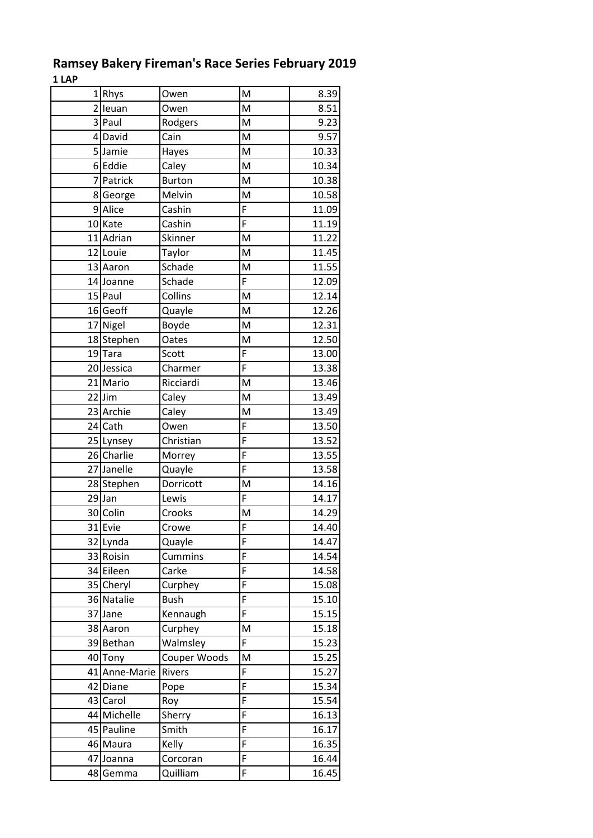|                | 1Rhys         | Owen          | M              | 8.39               |
|----------------|---------------|---------------|----------------|--------------------|
| $\overline{2}$ | leuan         | Owen          | M              | 8.51               |
|                | 3 Paul        | Rodgers       | M              | 9.23               |
|                | 4 David       | Cain          | M              | 9.57               |
| 5 <sup>1</sup> | Jamie         | Hayes         | M              | 10.33              |
| $6 \mid$       | Eddie         | Caley         | M              | 10.34              |
| $\overline{7}$ | Patrick       | <b>Burton</b> | M              | 10.38              |
| 8              | George        | Melvin        | M              | 10.58              |
|                | 9 Alice       | Cashin        | F              | 11.09              |
|                | 10 Kate       | Cashin        | $\overline{F}$ | 11.19              |
| 11             | Adrian        | Skinner       | M              | 11.22              |
|                | 12 Louie      | Taylor        | M              | 11.45              |
|                | 13 Aaron      | Schade        | M              | 11.55              |
|                | 14 Joanne     | Schade        | F              | 12.09              |
|                | 15 Paul       | Collins       | M              | 12.14              |
| 16             | Geoff         | Quayle        | M              | 12.26              |
| 17             | Nigel         | Boyde         | M              | 12.31              |
|                | 18 Stephen    | Oates         | M              | 12.50              |
|                | 19Tara        | Scott         | F              | 13.00              |
|                | 20 Jessica    | Charmer       | $\overline{F}$ | 13.38              |
|                | 21 Mario      | Ricciardi     | M              | 13.46              |
|                | 22 Jim        | Caley         | M              | 13.49              |
|                | 23 Archie     | Caley         | M              | 13.49              |
|                | 24 Cath       | Owen          | F              | $13.\overline{50}$ |
|                |               |               | F              |                    |
|                | 25 Lynsey     | Christian     | $\overline{F}$ | 13.52              |
|                | 26 Charlie    | Morrey        | $\overline{F}$ | 13.55              |
|                | 27 Janelle    | Quayle        |                | 13.58              |
|                | 28 Stephen    | Dorricott     | M<br>F         | 14.16              |
|                | $29$ Jan      | Lewis         |                | 14.17              |
|                | 30 Colin      | Crooks        | M              | 14.29              |
|                | 31 Evie       | Crowe         | F              | 14.40              |
|                | 32 Lynda      | Quayle        | $\overline{F}$ | 14.47              |
|                | 33 Roisin     | Cummins       | F              | 14.54              |
|                | 34 Eileen     | Carke         | F              | 14.58              |
|                | 35 Cheryl     | Curphey       | F              | 15.08              |
|                | 36 Natalie    | <b>Bush</b>   | F              | 15.10              |
| 37             | Jane          | Kennaugh      | F              | 15.15              |
|                | 38 Aaron      | Curphey       | M              | 15.18              |
|                | 39 Bethan     | Walmsley      | F              | 15.23              |
|                | 40 Tony       | Couper Woods  | M              | 15.25              |
|                | 41 Anne-Marie | Rivers        | F              | 15.27              |
|                | 42 Diane      | Pope          | F              | 15.34              |
| 43             | Carol         | Roy           | F              | 15.54              |
| 44             | Michelle      | Sherry        | F              | 16.13              |
|                | 45 Pauline    | Smith         | F              | 16.17              |
|                | 46 Maura      | Kelly         | F              | 16.35              |
| 47             | Joanna        | Corcoran      | F              | 16.44              |
| 48             | Gemma         | Quilliam      | F              | 16.45              |

## **Ramsey Bakery Fireman's Race Series February 2019 1 LAP**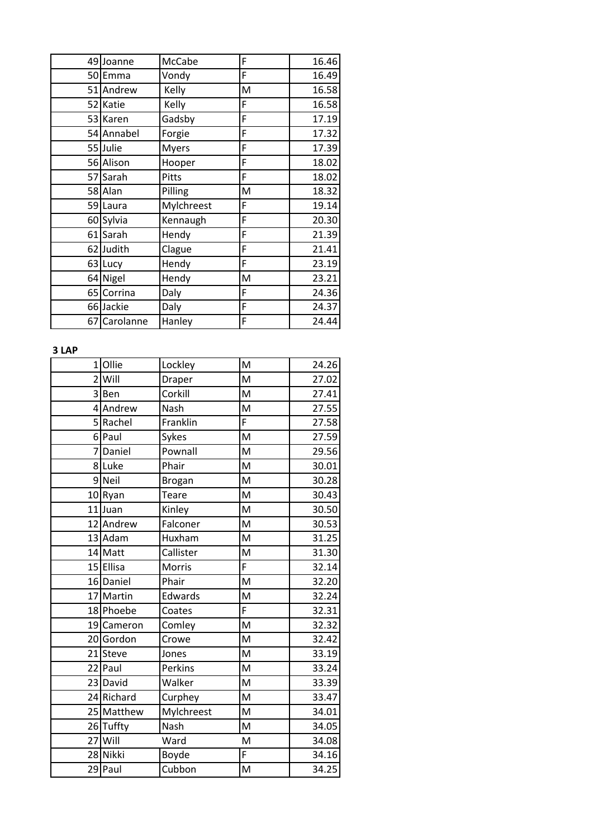|    | 49 Joanne  | McCabe       | F | 16.46 |
|----|------------|--------------|---|-------|
|    | 50 Emma    | Vondy        | F | 16.49 |
|    | 51 Andrew  | Kelly        | M | 16.58 |
|    | 52 Katie   | Kelly        | F | 16.58 |
|    | 53 Karen   | Gadsby       | F | 17.19 |
|    | 54 Annabel | Forgie       | F | 17.32 |
|    | 55 Julie   | <b>Myers</b> | F | 17.39 |
|    | 56 Alison  | Hooper       | F | 18.02 |
|    | 57 Sarah   | Pitts        | F | 18.02 |
|    | 58 Alan    | Pilling      | M | 18.32 |
|    | 59 Laura   | Mylchreest   | F | 19.14 |
|    | 60 Sylvia  | Kennaugh     | F | 20.30 |
|    | 61 Sarah   | Hendy        | F | 21.39 |
|    | 62 Judith  | Clague       | F | 21.41 |
|    | 63 Lucy    | Hendy        | F | 23.19 |
|    | 64 Nigel   | Hendy        | M | 23.21 |
|    | 65 Corrina | Daly         | F | 24.36 |
|    | 66 Jackie  | Daly         | F | 24.37 |
| 67 | Carolanne  | Hanley       | F | 24.44 |

## **3 LAP**

| 1 <sup>1</sup> | Ollie      | Lockley       | M | 24.26 |
|----------------|------------|---------------|---|-------|
| $\overline{2}$ | Will       | Draper        | M | 27.02 |
| $\overline{3}$ | Ben        | Corkill       | M | 27.41 |
| 41             | Andrew     | Nash          | M | 27.55 |
| 5 <sub>l</sub> | Rachel     | Franklin      | F | 27.58 |
|                | 6 Paul     | Sykes         | M | 27.59 |
| $\overline{7}$ | Daniel     | Pownall       | M | 29.56 |
| 8              | Luke       | Phair         | M | 30.01 |
| 9              | Neil       | <b>Brogan</b> | M | 30.28 |
| 10             | Ryan       | Teare         | M | 30.43 |
| 11             | Juan       | Kinley        | M | 30.50 |
|                | 12 Andrew  | Falconer      | M | 30.53 |
|                | 13 Adam    | Huxham        | M | 31.25 |
|                | 14 Matt    | Callister     | M | 31.30 |
|                | 15 Ellisa  | Morris        | F | 32.14 |
|                | 16 Daniel  | Phair         | M | 32.20 |
| 17             | Martin     | Edwards       | M | 32.24 |
|                | 18 Phoebe  | Coates        | F | 32.31 |
|                | 19 Cameron | Comley        | M | 32.32 |
|                | 20 Gordon  | Crowe         | M | 32.42 |
| 21             | Steve      | Jones         | M | 33.19 |
|                | 22 Paul    | Perkins       | M | 33.24 |
|                | 23 David   | Walker        | M | 33.39 |
|                | 24 Richard | Curphey       | M | 33.47 |
|                | 25 Matthew | Mylchreest    | M | 34.01 |
|                | 26 Tuffty  | Nash          | M | 34.05 |
| 27             | Will       | Ward          | M | 34.08 |
|                | 28 Nikki   | Boyde         | F | 34.16 |
|                | 29 Paul    | Cubbon        | M | 34.25 |
|                |            |               |   |       |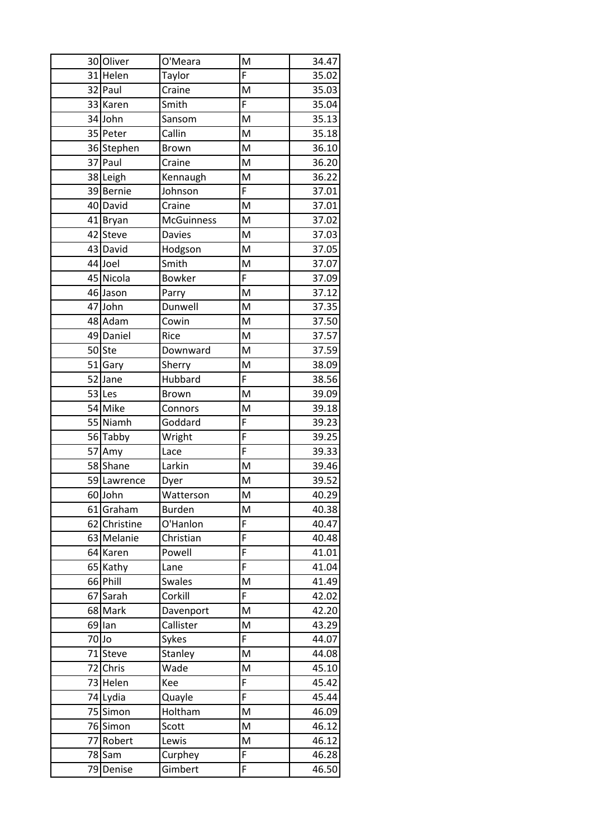|       | 30 Oliver    | O'Meara           | M | 34.47 |
|-------|--------------|-------------------|---|-------|
|       | 31 Helen     | Taylor            | F | 35.02 |
|       | 32 Paul      | Craine            | M | 35.03 |
|       | 33 Karen     | Smith             | F | 35.04 |
|       | 34 John      | Sansom            | M | 35.13 |
|       | 35 Peter     | Callin            | M | 35.18 |
|       | 36 Stephen   | <b>Brown</b>      | M | 36.10 |
|       | 37 Paul      | Craine            | M | 36.20 |
|       | 38 Leigh     | Kennaugh          | M | 36.22 |
|       | 39 Bernie    | Johnson           | F | 37.01 |
|       | 40 David     | Craine            | M | 37.01 |
| 41    | <b>Bryan</b> | <b>McGuinness</b> | M | 37.02 |
| 42    | <b>Steve</b> | <b>Davies</b>     | M | 37.03 |
| 43    | David        | Hodgson           | M | 37.05 |
|       | 44 Joel      | Smith             | M | 37.07 |
|       | 45 Nicola    | <b>Bowker</b>     | F | 37.09 |
|       | 46 Jason     | Parry             | M | 37.12 |
|       | 47 John      | Dunwell           | M | 37.35 |
|       | 48 Adam      | Cowin             | M | 37.50 |
|       | 49 Daniel    | Rice              | M | 37.57 |
|       | 50 Ste       | Downward          | M | 37.59 |
|       | 51 Gary      | Sherry            | M | 38.09 |
|       | 52 Jane      | Hubbard           | F | 38.56 |
|       | 53 Les       | <b>Brown</b>      | M | 39.09 |
|       | 54 Mike      | Connors           | M | 39.18 |
|       | 55 Niamh     | Goddard           | F | 39.23 |
|       | 56 Tabby     | Wright            | F | 39.25 |
| 57    | Amy          | Lace              | F | 39.33 |
|       | 58 Shane     | Larkin            | M | 39.46 |
|       | 59 Lawrence  | Dyer              | M | 39.52 |
|       | 60 John      | Watterson         | M | 40.29 |
|       | 61 Graham    | <b>Burden</b>     | M | 40.38 |
| 62    | Christine    | O'Hanlon          | F | 40.47 |
|       | 63 Melanie   | Christian         | F | 40.48 |
| 64    | Karen        | Powell            | F | 41.01 |
| 65    | Kathy        | Lane              | F | 41.04 |
|       | 66 Phill     | <b>Swales</b>     | M | 41.49 |
| 67    | Sarah        | Corkill           | F | 42.02 |
|       | 68 Mark      | Davenport         | M | 42.20 |
| 69    | lan          | Callister         | M | 43.29 |
| 70 Jo |              | Sykes             | F | 44.07 |
| 71    | Steve        | Stanley           | M | 44.08 |
| 72    | Chris        | Wade              | M | 45.10 |
| 73    | Helen        | Kee               | F | 45.42 |
|       | 74 Lydia     | Quayle            | F | 45.44 |
|       | 75 Simon     | Holtham           | M | 46.09 |
| 76    | Simon        | Scott             | M | 46.12 |
| 77    | Robert       | Lewis             | M | 46.12 |
| 78    | Sam          | Curphey           | F | 46.28 |
| 79    | Denise       | Gimbert           | F | 46.50 |
|       |              |                   |   |       |